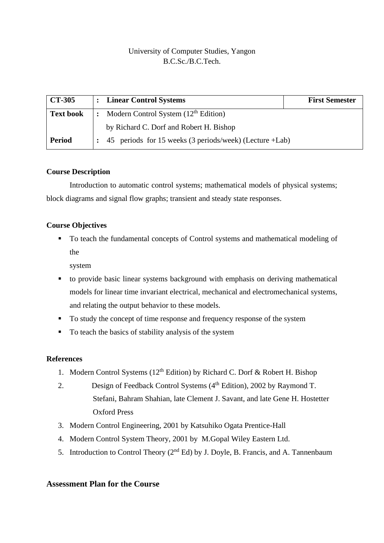# University of Computer Studies, Yangon B.C.Sc./B.C.Tech.

| $\overline{CT}$ -305                                                         | : Linear Control Systems                                | <b>First Semester</b> |  |  |  |
|------------------------------------------------------------------------------|---------------------------------------------------------|-----------------------|--|--|--|
| Modern Control System $(12th Edition)$<br><b>Text book</b><br>$\ddot{\cdot}$ |                                                         |                       |  |  |  |
|                                                                              | by Richard C. Dorf and Robert H. Bishop                 |                       |  |  |  |
| <b>Period</b>                                                                | 45 periods for 15 weeks (3 periods/week) (Lecture +Lab) |                       |  |  |  |

# **Course Description**

Introduction to automatic control systems; mathematical models of physical systems; block diagrams and signal flow graphs; transient and steady state responses.

# **Course Objectives**

■ To teach the fundamental concepts of Control systems and mathematical modeling of the

system

- to provide basic linear systems background with emphasis on deriving mathematical models for linear time invariant electrical, mechanical and electromechanical systems, and relating the output behavior to these models.
- To study the concept of time response and frequency response of the system
- To teach the basics of stability analysis of the system

#### **References**

- 1. Modern Control Systems ( $12<sup>th</sup>$  Edition) by Richard C. Dorf & Robert H. Bishop
- 2. Design of Feedback Control Systems (4<sup>th</sup> Edition), 2002 by Raymond T. Stefani, Bahram Shahian, late Clement J. Savant, and late Gene H. Hostetter Oxford Press
- 3. Modern Control Engineering, 2001 by Katsuhiko Ogata Prentice-Hall
- 4. Modern Control System Theory, 2001 by M.Gopal Wiley Eastern Ltd.
- 5. Introduction to Control Theory  $(2^{nd} Ed)$  by J. Doyle, B. Francis, and A. Tannenbaum

# **Assessment Plan for the Course**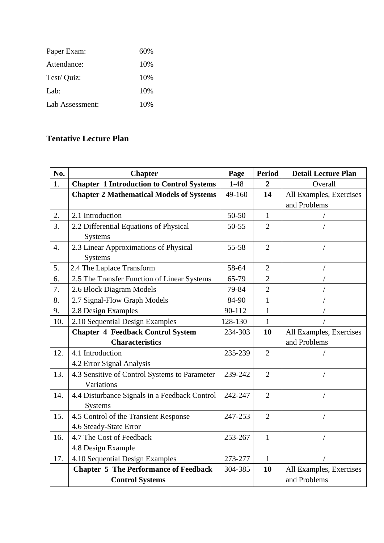| Paper Exam:     | 60% |
|-----------------|-----|
| Attendance:     | 10% |
| Test/ Quiz:     | 10% |
| Lab:            | 10% |
| Lab Assessment: | 10% |

# **Tentative Lecture Plan**

| No.              | <b>Chapter</b>                                   | Page      | <b>Period</b>  | <b>Detail Lecture Plan</b> |
|------------------|--------------------------------------------------|-----------|----------------|----------------------------|
| 1.               | <b>Chapter 1 Introduction to Control Systems</b> | $1 - 48$  | $\overline{2}$ | Overall                    |
|                  | <b>Chapter 2 Mathematical Models of Systems</b>  | 49-160    | 14             | All Examples, Exercises    |
|                  |                                                  |           |                | and Problems               |
| 2.               | 2.1 Introduction                                 | 50-50     | $\mathbf{1}$   |                            |
| $\overline{3}$ . | 2.2 Differential Equations of Physical           | $50 - 55$ | $\overline{2}$ |                            |
|                  | <b>Systems</b>                                   |           |                |                            |
| $\overline{4}$ . | 2.3 Linear Approximations of Physical            | 55-58     | $\overline{2}$ |                            |
|                  | <b>Systems</b>                                   |           |                |                            |
| 5.               | 2.4 The Laplace Transform                        | 58-64     | $\overline{2}$ |                            |
| 6.               | 2.5 The Transfer Function of Linear Systems      | 65-79     | $\overline{2}$ |                            |
| 7.               | 2.6 Block Diagram Models                         | 79-84     | $\overline{2}$ |                            |
| 8.               | 2.7 Signal-Flow Graph Models                     | 84-90     | 1              |                            |
| 9.               | 2.8 Design Examples                              | 90-112    | $\mathbf{1}$   |                            |
| 10.              | 2.10 Sequential Design Examples                  | 128-130   | $\mathbf{1}$   |                            |
|                  | <b>Chapter 4 Feedback Control System</b>         | 234-303   | 10             | All Examples, Exercises    |
|                  | <b>Characteristics</b>                           |           |                | and Problems               |
| 12.              | 4.1 Introduction                                 | 235-239   | $\overline{2}$ |                            |
|                  | 4.2 Error Signal Analysis                        |           |                |                            |
| 13.              | 4.3 Sensitive of Control Systems to Parameter    | 239-242   | $\overline{2}$ | $\prime$                   |
|                  | Variations                                       |           |                |                            |
| 14.              | 4.4 Disturbance Signals in a Feedback Control    | 242-247   | $\overline{2}$ |                            |
|                  | <b>Systems</b>                                   |           |                |                            |
| 15.              | 4.5 Control of the Transient Response            | 247-253   | $\overline{2}$ | $\sqrt{2}$                 |
|                  | 4.6 Steady-State Error                           |           |                |                            |
| 16.              | 4.7 The Cost of Feedback                         | 253-267   | $\mathbf{1}$   |                            |
|                  | 4.8 Design Example                               |           |                |                            |
| 17.              | 4.10 Sequential Design Examples                  | 273-277   | $\mathbf{1}$   |                            |
|                  | <b>Chapter 5 The Performance of Feedback</b>     | 304-385   | 10             | All Examples, Exercises    |
|                  | <b>Control Systems</b>                           |           |                | and Problems               |